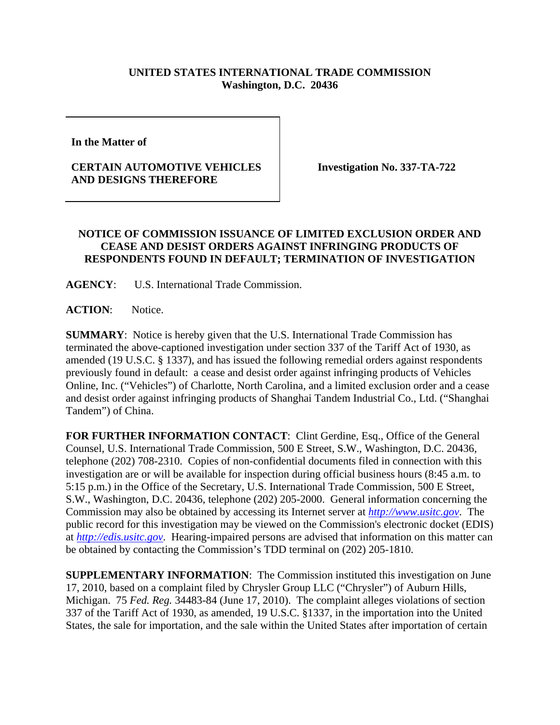## **UNITED STATES INTERNATIONAL TRADE COMMISSION Washington, D.C. 20436**

**In the Matter of** 

## **CERTAIN AUTOMOTIVE VEHICLES AND DESIGNS THEREFORE**

**Investigation No. 337-TA-722** 

## **NOTICE OF COMMISSION ISSUANCE OF LIMITED EXCLUSION ORDER AND CEASE AND DESIST ORDERS AGAINST INFRINGING PRODUCTS OF RESPONDENTS FOUND IN DEFAULT; TERMINATION OF INVESTIGATION**

**AGENCY**: U.S. International Trade Commission.

**ACTION**: Notice.

**SUMMARY**: Notice is hereby given that the U.S. International Trade Commission has terminated the above-captioned investigation under section 337 of the Tariff Act of 1930, as amended (19 U.S.C. § 1337), and has issued the following remedial orders against respondents previously found in default: a cease and desist order against infringing products of Vehicles Online, Inc. ("Vehicles") of Charlotte, North Carolina, and a limited exclusion order and a cease and desist order against infringing products of Shanghai Tandem Industrial Co., Ltd. ("Shanghai Tandem") of China.

**FOR FURTHER INFORMATION CONTACT**: Clint Gerdine, Esq., Office of the General Counsel, U.S. International Trade Commission, 500 E Street, S.W., Washington, D.C. 20436, telephone (202) 708-2310. Copies of non-confidential documents filed in connection with this investigation are or will be available for inspection during official business hours (8:45 a.m. to 5:15 p.m.) in the Office of the Secretary, U.S. International Trade Commission, 500 E Street, S.W., Washington, D.C. 20436, telephone (202) 205-2000. General information concerning the Commission may also be obtained by accessing its Internet server at *http://www.usitc.gov*. The public record for this investigation may be viewed on the Commission's electronic docket (EDIS) at *http://edis.usitc.gov*. Hearing-impaired persons are advised that information on this matter can be obtained by contacting the Commission's TDD terminal on (202) 205-1810.

**SUPPLEMENTARY INFORMATION**: The Commission instituted this investigation on June 17, 2010, based on a complaint filed by Chrysler Group LLC ("Chrysler") of Auburn Hills, Michigan. 75 *Fed. Reg.* 34483-84 (June 17, 2010). The complaint alleges violations of section 337 of the Tariff Act of 1930, as amended, 19 U.S.C. §1337, in the importation into the United States, the sale for importation, and the sale within the United States after importation of certain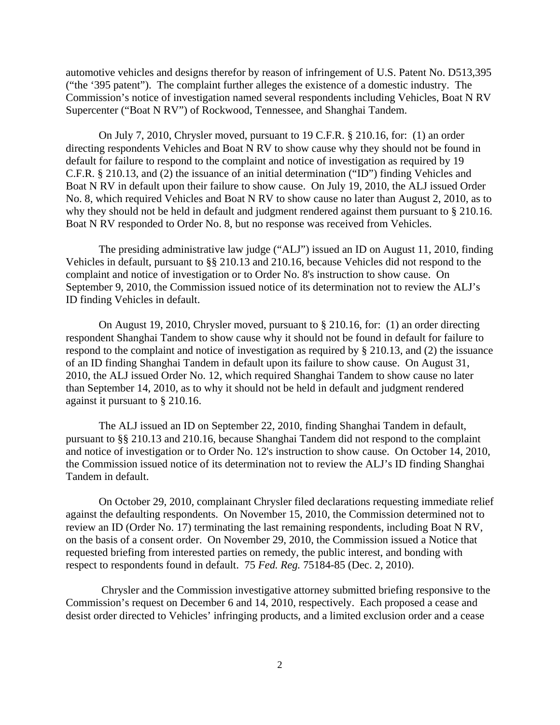automotive vehicles and designs therefor by reason of infringement of U.S. Patent No. D513,395 ("the '395 patent"). The complaint further alleges the existence of a domestic industry. The Commission's notice of investigation named several respondents including Vehicles, Boat N RV Supercenter ("Boat N RV") of Rockwood, Tennessee, and Shanghai Tandem.

 On July 7, 2010, Chrysler moved, pursuant to 19 C.F.R. § 210.16, for: (1) an order directing respondents Vehicles and Boat N RV to show cause why they should not be found in default for failure to respond to the complaint and notice of investigation as required by 19 C.F.R. § 210.13, and (2) the issuance of an initial determination ("ID") finding Vehicles and Boat N RV in default upon their failure to show cause. On July 19, 2010, the ALJ issued Order No. 8, which required Vehicles and Boat N RV to show cause no later than August 2, 2010, as to why they should not be held in default and judgment rendered against them pursuant to § 210.16. Boat N RV responded to Order No. 8, but no response was received from Vehicles.

 The presiding administrative law judge ("ALJ") issued an ID on August 11, 2010, finding Vehicles in default, pursuant to §§ 210.13 and 210.16, because Vehicles did not respond to the complaint and notice of investigation or to Order No. 8's instruction to show cause. On September 9, 2010, the Commission issued notice of its determination not to review the ALJ's ID finding Vehicles in default.

 On August 19, 2010, Chrysler moved, pursuant to § 210.16, for: (1) an order directing respondent Shanghai Tandem to show cause why it should not be found in default for failure to respond to the complaint and notice of investigation as required by § 210.13, and (2) the issuance of an ID finding Shanghai Tandem in default upon its failure to show cause. On August 31, 2010, the ALJ issued Order No. 12, which required Shanghai Tandem to show cause no later than September 14, 2010, as to why it should not be held in default and judgment rendered against it pursuant to § 210.16.

 The ALJ issued an ID on September 22, 2010, finding Shanghai Tandem in default, pursuant to §§ 210.13 and 210.16, because Shanghai Tandem did not respond to the complaint and notice of investigation or to Order No. 12's instruction to show cause. On October 14, 2010, the Commission issued notice of its determination not to review the ALJ's ID finding Shanghai Tandem in default.

 On October 29, 2010, complainant Chrysler filed declarations requesting immediate relief against the defaulting respondents. On November 15, 2010, the Commission determined not to review an ID (Order No. 17) terminating the last remaining respondents, including Boat N RV, on the basis of a consent order. On November 29, 2010, the Commission issued a Notice that requested briefing from interested parties on remedy, the public interest, and bonding with respect to respondents found in default. 75 *Fed. Reg.* 75184-85 (Dec. 2, 2010).

 Chrysler and the Commission investigative attorney submitted briefing responsive to the Commission's request on December 6 and 14, 2010, respectively. Each proposed a cease and desist order directed to Vehicles' infringing products, and a limited exclusion order and a cease